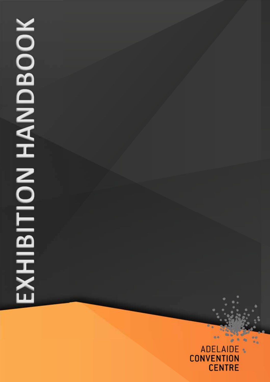# **SKHIBITION HANDBOOK EXHIBITION HANDBOOK**

# **ADELAIDE** k, **CONVENTION CENTRE**

64

88

ä ۰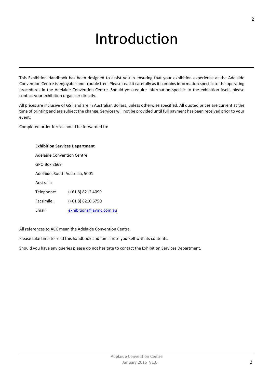# Introduction

This Exhibition Handbook has been designed to assist you in ensuring that your exhibition experience at the Adelaide Convention Centre is enjoyable and trouble free. Please read it carefully as it contains information specific to the operating procedures in the Adelaide Convention Centre. Should you require information specific to the exhibition itself, please contact your exhibition organiser directly.

All prices are inclusive of GST and are in Australian dollars, unless otherwise specified. All quoted prices are current at the time of printing and are subject the change. Services will not be provided until full payment has been received prior to your event.

Completed order forms should be forwarded to:

| <b>Exhibition Services Department</b> |                         |
|---------------------------------------|-------------------------|
| Adelaide Convention Centre            |                         |
| GPO Box 2669                          |                         |
| Adelaide, South Australia, 5001       |                         |
| Australia                             |                         |
| Telephone:                            | (+61 8) 8212 4099       |
| Facsimile:                            | (+61 8) 8210 6750       |
| Fmail·                                | exhibitions@avmc.com.au |

All references to ACC mean the Adelaide Convention Centre.

Please take time to read this handbook and familiarise yourself with its contents.

Should you have any queries please do not hesitate to contact the Exhibition Services Department.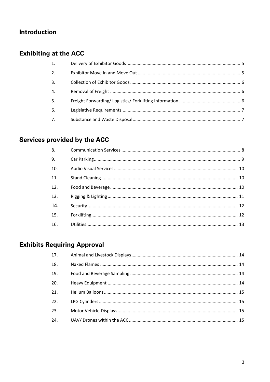# **Introduction**

# **Exhibiting at the ACC**

| 1.               |  |
|------------------|--|
| 2.               |  |
| 3.               |  |
| $\overline{4}$ . |  |
| 5 <sub>1</sub>   |  |
| 6.               |  |
| 7.               |  |

# Services provided by the ACC

| 8.  |  |
|-----|--|
| 9.  |  |
| 10. |  |
| 11. |  |
| 12. |  |
| 13. |  |
| 14. |  |
| 15. |  |
| 16. |  |

# **Exhibits Requiring Approval**

| 17. |  |
|-----|--|
| 18. |  |
| 19. |  |
| 20. |  |
| 21. |  |
| 22. |  |
| 23. |  |
| 24. |  |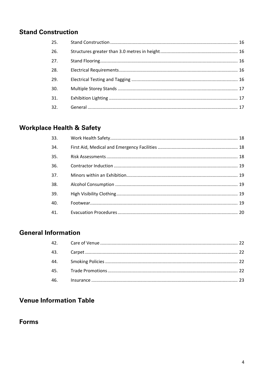# **Stand Construction**

| 25. |  |
|-----|--|
| 26. |  |
| 27. |  |
| 28. |  |
| 29. |  |
| 30. |  |
| 31. |  |
| 32. |  |

# **Workplace Health & Safety**

| 33. |  |
|-----|--|
| 34. |  |
| 35. |  |
| 36. |  |
| 37. |  |
| 38. |  |
| 39. |  |
| 40. |  |
| 41. |  |

# **General Information**

# **Venue Information Table**

# **Forms**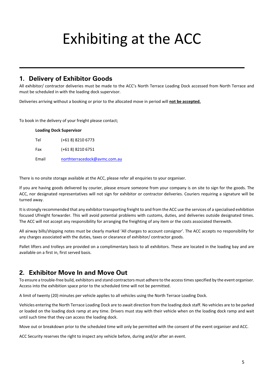# Exhibiting at the ACC

#### **1. Delivery of Exhibitor Goods**

All exhibitor/ contractor deliveries must be made to the ACC's North Terrace Loading Dock accessed from North Terrace and must be scheduled in with the loading dock supervisor.

Deliveries arriving without a booking or prior to the allocated move in period will **not be accepted.**

To book in the delivery of your freight please contact;

| <b>Loading Dock Supervisor</b> |                              |  |
|--------------------------------|------------------------------|--|
| Tel                            | (+61 8) 8210 6773            |  |
| Fax                            | (+61 8) 8210 6751            |  |
| Email                          | northterracedock@avmc.com.au |  |

There is no onsite storage available at the ACC, please refer all enquiries to your organiser.

If you are having goods delivered by courier, please ensure someone from your company is on site to sign for the goods. The ACC, nor designated representatives will not sign for exhibitor or contractor deliveries. Couriers requiring a signature will be turned away.

It isstrongly recommended that any exhibitor transporting freight to and from the ACC use the services of a specialised exhibition focused Ufreight forwarder. This will avoid potential problems with customs, duties, and deliveries outside designated times. The ACC will not accept any responsibility for arranging the freighting of any item or the costs associated therewith.

All airway bills/shipping notes must be clearly marked 'All charges to account consignor'. The ACC accepts no responsibility for any charges associated with the duties, taxes or clearance of exhibitor/ contractor goods.

Pallet lifters and trolleys are provided on a complimentary basis to all exhibitors. These are located in the loading bay and are available on a first in, first served basis.

# **2. Exhibitor Move In and Move Out**

To ensure a trouble-free build, exhibitors and stand contractors must adhere to the access times specified by the event organiser. Access into the exhibition space prior to the scheduled time will not be permitted.

A limit of twenty (20) minutes per vehicle applies to all vehicles using the North Terrace Loading Dock.

Vehicles entering the North Terrace Loading Dock are to await direction from the loading dock staff. No vehicles are to be parked or loaded on the loading dock ramp at any time. Drivers must stay with their vehicle when on the loading dock ramp and wait until such time that they can access the loading dock.

Move out or breakdown prior to the scheduled time will only be permitted with the consent of the event organiser and ACC.

ACC Security reserves the right to inspect any vehicle before, during and/or after an event.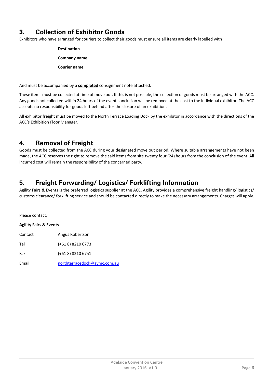# **3. Collection of Exhibitor Goods**

Exhibitors who have arranged for couriers to collect their goods must ensure all items are clearly labelled with

| <b>Destination</b>  |
|---------------------|
| Company name        |
| <b>Courier name</b> |

And must be accompanied by a **completed** consignment note attached.

These items must be collected at time of move out. If this is not possible, the collection of goods must be arranged with the ACC. Any goods not collected within 24 hours of the event conclusion will be removed at the cost to the individual exhibitor. The ACC accepts no responsibility for goods left behind after the closure of an exhibition.

All exhibitor freight must be moved to the North Terrace Loading Dock by the exhibitor in accordance with the directions of the ACC's Exhibition Floor Manager.

# **4. Removal of Freight**

Goods must be collected from the ACC during your designated move out period. Where suitable arrangements have not been made, the ACC reserves the right to remove the said items from site twenty four (24) hours from the conclusion of the event. All incurred cost will remain the responsibility of the concerned party.

# **5. Freight Forwarding/ Logistics/ Forklifting Information**

Agility Fairs & Events is the preferred logistics supplier at the ACC. Agility provides a comprehensive freight handling/ logistics/ customs clearance/ forklifting service and should be contacted directly to make the necessary arrangements. Charges will apply.

Please contact;

#### **Agility Fairs & Events**

| Contact | Angus Robertson |  |
|---------|-----------------|--|
|         |                 |  |

Tel (+61 8) 8210 6773

Fax (+61 8) 8210 6751

Email northterracedock@avmc.com.au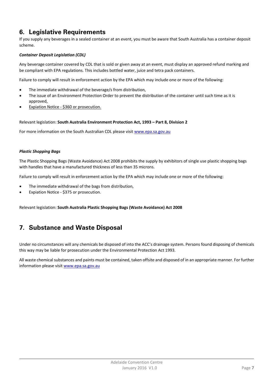# **6. Legislative Requirements**

If you supply any beverages in a sealed container at an event, you must be aware that South Australia has a container deposit scheme.

#### *Container Deposit Legislation (CDL)*

Any beverage container covered by CDL that is sold or given away at an event, must display an approved refund marking and be compliant with EPA regulations. This includes bottled water, juice and tetra pack containers.

Failure to comply will result in enforcement action by the EPA which may include one or more of the following:

- The immediate withdrawal of the beverage/s from distribution,
- The issue of an Environment Protection Order to prevent the distribution of the container until such time as it is approved,
- Expiation Notice ‐ \$360 or prosecution.

#### Relevant legislation: **South Australia Environment Protection Act, 1993 – Part 8, Division 2**

For more information on the South Australian CDL please visit www.epa.sa.gov.au

#### *Plastic Shopping Bags*

The Plastic Shopping Bags (Waste Avoidance) Act 2008 prohibits the supply by exhibitors of single use plastic shopping bags with handles that have a manufactured thickness of less than 35 microns.

Failure to comply will result in enforcement action by the EPA which may include one or more of the following:

- The immediate withdrawal of the bags from distribution,
- Expiation Notice ‐ \$375 or prosecution.

Relevant legislation: **South Australia Plastic Shopping Bags (Waste Avoidance) Act 2008**

## **7. Substance and Waste Disposal**

Under no circumstances will any chemicals be disposed of into the ACC's drainage system. Persons found disposing of chemicals this way may be liable for prosecution under the Environmental Protection Act 1993.

All waste chemical substances and paints must be contained, taken offsite and disposed of in an appropriate manner. For further information please visit www.epa.sa.gov.au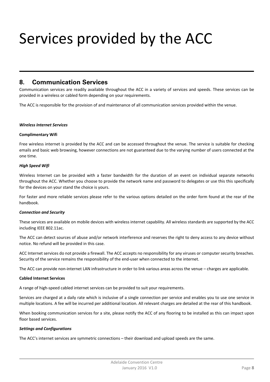# Services provided by the ACC

#### **8. Communication Services**

Communication services are readily available throughout the ACC in a variety of services and speeds. These services can be provided in a wireless or cabled form depending on your requirements.

The ACC is responsible for the provision of and maintenance of all communication services provided within the venue.

#### *Wireless Internet Services*

#### **Complimentary Wifi**

Free wireless internet is provided by the ACC and can be accessed throughout the venue. The service is suitable for checking emails and basic web browsing, however connections are not guaranteed due to the varying number of users connected at the one time.

#### *High Speed Wifi*

Wireless Internet can be provided with a faster bandwidth for the duration of an event on individual separate networks throughout the ACC. Whether you choose to provide the network name and password to delegates or use this this specifically for the devices on your stand the choice is yours.

For faster and more reliable services please refer to the various options detailed on the order form found at the rear of the handbook.

#### *Connection and Security*

These services are available on mobile devices with wireless internet capability. All wireless standards are supported by the ACC including IEEE 802.11ac.

The ACC can detect sources of abuse and/or network interference and reserves the right to deny access to any device without notice. No refund will be provided in this case.

ACC Internet services do not provide a firewall. The ACC accepts no responsibility for any viruses or computer security breaches. Security of the service remains the responsibility of the end‐user when connected to the internet.

The ACC can provide non-internet LAN infrastructure in order to link various areas across the venue – charges are applicable.

#### **Cabled Internet Services**

A range of high‐speed cabled internet services can be provided to suit your requirements.

Services are charged at a daily rate which is inclusive of a single connection per service and enables you to use one service in multiple locations. A fee will be incurred per additional location. All relevant charges are detailed at the rear of this handbook.

When booking communication services for a site, please notify the ACC of any flooring to be installed as this can impact upon floor based services.

#### *Settings and Configurations*

The ACC's internet services are symmetric connections – their download and upload speeds are the same.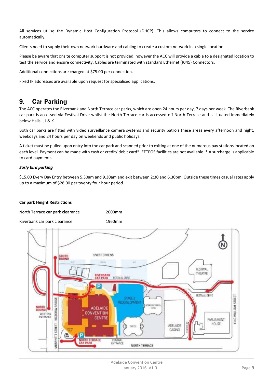All services utilise the Dynamic Host Configuration Protocol (DHCP). This allows computers to connect to the service automatically.

Clients need to supply their own network hardware and cabling to create a custom network in a single location.

Please be aware that onsite computer support is not provided, however the ACC will provide a cable to a designated location to test the service and ensure connectivity. Cables are terminated with standard Ethernet (RJ45) Connectors.

Additional connections are charged at \$75.00 per connection.

Fixed IP addresses are available upon request for specialised applications.

#### **9. Car Parking**

The ACC operates the Riverbank and North Terrace car parks, which are open 24 hours per day, 7 days per week. The Riverbank car park is accessed via Festival Drive whilst the North Terrace car is accessed off North Terrace and is situated immediately below Halls I, J & K.

Both car parks are fitted with video surveillance camera systems and security patrols these areas every afternoon and night, weekdays and 24 hours per day on weekends and public holidays.

A ticket must be pulled upon entry into the car park and scanned prior to exiting at one of the numerous pay stations located on each level. Payment can be made with cash or credit/ debit card\*. EFTPOS facilities are not available. \* A surcharge is applicable to card payments.

#### *Early bird parking*

\$15.00 Every Day Entry between 5.30am and 9.30am and exit between 2:30 and 6.30pm. Outside these times casual rates apply up to a maximum of \$28.00 per twenty four hour period.

#### **Car park Height Restrictions**

| North Terrace car park clearance | 2000 <sub>mm</sub> |
|----------------------------------|--------------------|
| Riverbank car park clearance     | 1960mm             |

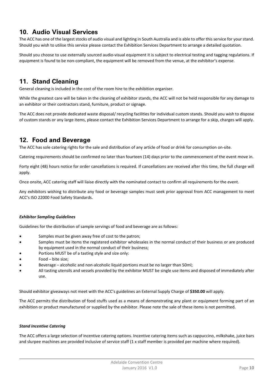# **10. Audio Visual Services**

The ACC has one of the largest stocks of audio visual and lighting in South Australia and is able to offer this service for your stand. Should you wish to utilise this service please contact the Exhibition Services Department to arrange a detailed quotation.

Should you choose to use externally sourced audio-visual equipment it is subject to electrical testing and tagging regulations. If equipment is found to be non-compliant, the equipment will be removed from the venue, at the exhibitor's expense.

# **11. Stand Cleaning**

General cleaning is included in the cost of the room hire to the exhibition organiser.

While the greatest care will be taken in the cleaning of exhibitor stands, the ACC will not be held responsible for any damage to an exhibitor or their contractors stand, furniture, product or signage.

The ACC does not provide dedicated waste disposal/ recycling facilities for individual custom stands. Should you wish to dispose of custom stands or any large items, please contact the Exhibition Services Department to arrange for a skip, charges will apply.

# **12. Food and Beverage**

The ACC has sole catering rights for the sale and distribution of any article of food or drink for consumption on‐site.

Catering requirements should be confirmed no later than fourteen (14) days prior to the commencement of the event move in.

Forty eight (48) hours notice for order cancellations is required. If cancellations are received after this time, the full charge will apply.

Once onsite, ACC catering staff will liaise directly with the nominated contact to confirm all requirements for the event.

Any exhibitors wishing to distribute any food or beverage samples must seek prior approval from ACC management to meet ACC's ISO 22000 Food Safety Standards.

#### *Exhibitor Sampling Guidelines*

Guidelines for the distribution of sample servings of food and beverage are as follows:

- Samples must be given away free of cost to the patron;
- Samples must be items the registered exhibitor wholesales in the normal conduct of their business or are produced by equipment used in the normal conduct of their business;
- Portions MUST be of a tasting style and size only:
- Food bite size;
- Beverage alcoholic and non‐alcoholic liquid portions must be no larger than 50ml;
- All tasting utensils and vessels provided by the exhibitor MUST be single use items and disposed of immediately after use.

Should exhibitor giveaways not meet with the ACC's guidelines an External Supply Charge of **\$350.00** will apply.

The ACC permits the distribution of food stuffs used as a means of demonstrating any plant or equipment forming part of an exhibition or product manufactured or supplied by the exhibitor. Please note the sale of these items is not permitted.

#### *Stand Incentive Catering*

The ACC offers a large selection of incentive catering options. Incentive catering items such as cappuccino, milkshake, juice bars and slurpee machines are provided inclusive of service staff (1 x staff member is provided per machine where required).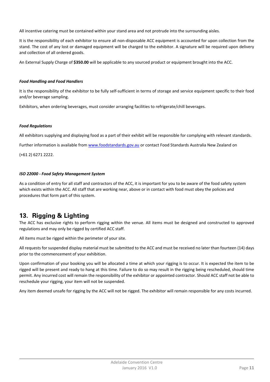All incentive catering must be contained within your stand area and not protrude into the surrounding aisles.

It is the responsibility of each exhibitor to ensure all non-disposable ACC equipment is accounted for upon collection from the stand. The cost of any lost or damaged equipment will be charged to the exhibitor. A signature will be required upon delivery and collection of all ordered goods.

An External Supply Charge of **\$350.00** will be applicable to any sourced product or equipment brought into the ACC.

#### *Food Handling and Food Handlers*

It is the responsibility of the exhibitor to be fully self‐sufficient in terms of storage and service equipment specific to their food and/or beverage sampling.

Exhibitors, when ordering beverages, must consider arranging facilities to refrigerate/chill beverages.

#### *Food Regulations*

All exhibitors supplying and displaying food as a part of their exhibit will be responsible for complying with relevant standards.

Further information is available from www.foodstandards.gov.au or contact Food Standards Australia New Zealand on

(+61 2) 6271 2222.

#### *ISO 22000 ‐ Food Safety Management System*

As a condition of entry for all staff and contractors of the ACC, it is important for you to be aware of the food safety system which exists within the ACC. All staff that are working near, above or in contact with food must obey the policies and procedures that form part of this system.

# **13. Rigging & Lighting**

The ACC has exclusive rights to perform rigging within the venue. All items must be designed and constructed to approved regulations and may only be rigged by certified ACC staff.

All items must be rigged within the perimeter of your site.

All requests for suspended display material must be submitted to the ACC and must be received no later than fourteen (14) days prior to the commencement of your exhibition.

Upon confirmation of your booking you will be allocated a time at which your rigging is to occur. It is expected the item to be rigged will be present and ready to hang at this time. Failure to do so may result in the rigging being rescheduled, should time permit. Any incurred cost will remain the responsibility of the exhibitor or appointed contractor. Should ACC staff not be able to reschedule your rigging, your item will not be suspended.

Any item deemed unsafe for rigging by the ACC will not be rigged. The exhibitor will remain responsible for any costs incurred.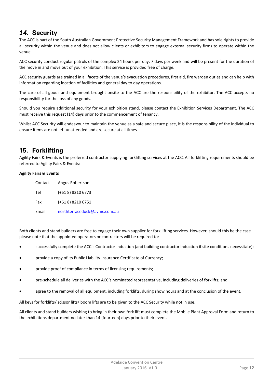# *14.* **Security**

The ACC is part of the South Australian Government Protective Security Management Framework and has sole rights to provide all security within the venue and does not allow clients or exhibitors to engage external security firms to operate within the venue.

ACC security conduct regular patrols of the complex 24 hours per day, 7 days per week and will be present for the duration of the move in and move out of your exhibition. This service is provided free of charge.

ACC security guards are trained in all facets of the venue's evacuation procedures, first aid, fire warden duties and can help with information regarding location of facilities and general day to day operations.

The care of all goods and equipment brought onsite to the ACC are the responsibility of the exhibitor. The ACC accepts no responsibility for the loss of any goods.

Should you require additional security for your exhibition stand, please contact the Exhibition Services Department. The ACC must receive this request (14) days prior to the commencement of tenancy.

Whilst ACC Security will endeavour to maintain the venue as a safe and secure place, it is the responsibility of the individual to ensure items are not left unattended and are secure at all times

# **15. Forklifting**

Agility Fairs & Events is the preferred contractor supplying forklifting services at the ACC. All forklifting requirements should be referred to Agility Fairs & Events:

#### **Agility Fairs & Events**

| Contact | Angus Robertson              |
|---------|------------------------------|
| Tel     | $(+618) 8210 6773$           |
| Fax     | $(+618) 8210 6751$           |
| Email   | northterracedock@avmc.com.au |

Both clients and stand builders are free to engage their own supplier for fork lifting services. However, should this be the case please note that the appointed operators or contractors will be required to:

- successfully complete the ACC's Contractor Induction (and building contractor induction if site conditions necessitate);
- provide a copy of its Public Liability Insurance Certificate of Currency;
- provide proof of compliance in terms of licensing requirements;
- pre‐schedule all deliveries with the ACC's nominated representative, including deliveries of forklifts; and
- agree to the removal of all equipment, including forklifts, during show hours and at the conclusion of the event.

All keys for forklifts/ scissor lifts/ boom lifts are to be given to the ACC Security while not in use.

All clients and stand builders wishing to bring in their own fork lift must complete the Mobile Plant Approval Form and return to the exhibitions department no later than 14 (fourteen) days prior to their event.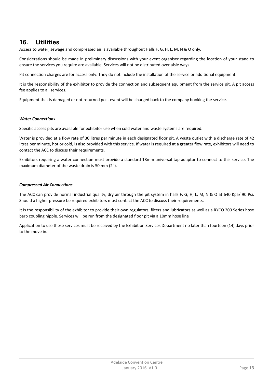# **16. Utilities**

Access to water, sewage and compressed air is available throughout Halls F, G, H, L, M, N & O only.

Considerations should be made in preliminary discussions with your event organiser regarding the location of your stand to ensure the services you require are available. Services will not be distributed over aisle ways.

Pit connection charges are for access only. They do not include the installation of the service or additional equipment.

It is the responsibility of the exhibitor to provide the connection and subsequent equipment from the service pit. A pit access fee applies to all services.

Equipment that is damaged or not returned post event will be charged back to the company booking the service.

#### *Water Connections*

Specific access pits are available for exhibitor use when cold water and waste systems are required.

Water is provided at a flow rate of 30 litres per minute in each designated floor pit. A waste outlet with a discharge rate of 42 litres per minute, hot or cold, is also provided with this service. If water is required at a greater flow rate, exhibitors will need to contact the ACC to discuss their requirements.

Exhibitors requiring a water connection must provide a standard 18mm universal tap adaptor to connect to this service. The maximum diameter of the waste drain is 50 mm (2").

#### *Compressed Air Connections*

The ACC can provide normal industrial quality, dry air through the pit system in halls F, G, H, L, M, N & O at 640 Kpa/ 90 Psi. Should a higher pressure be required exhibitors must contact the ACC to discuss their requirements.

It is the responsibility of the exhibitor to provide their own regulators, filters and lubricators as well as a RYCO 200 Series hose barb coupling nipple. Services will be run from the designated floor pit via a 10mm hose line

Application to use these services must be received by the Exhibition Services Department no later than fourteen (14) days prior to the move in.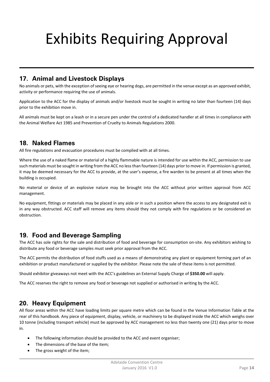# Exhibits Requiring Approval

# **17. Animal and Livestock Displays**

No animals or pets, with the exception of seeing eye or hearing dogs, are permitted in the venue except as an approved exhibit, activity or performance requiring the use of animals.

Application to the ACC for the display of animals and/or livestock must be sought in writing no later than fourteen (14) days prior to the exhibition move in.

All animals must be kept on a leash or in a secure pen under the control of a dedicated handler at all times in compliance with the Animal Welfare Act 1985 and Prevention of Cruelty to Animals Regulations 2000.

## **18. Naked Flames**

All fire regulations and evacuation procedures must be complied with at all times.

Where the use of a naked flame or material of a highly flammable nature is intended for use within the ACC, permission to use such materials must be sought in writing from the ACC no lessthan fourteen (14) days prior to move in. If permission is granted, it may be deemed necessary for the ACC to provide, at the user's expense, a fire warden to be present at all times when the building is occupied.

No material or device of an explosive nature may be brought into the ACC without prior written approval from ACC management.

No equipment, fittings or materials may be placed in any aisle or in such a position where the access to any designated exit is in any way obstructed. ACC staff will remove any items should they not comply with fire regulations or be considered an obstruction.

## **19. Food and Beverage Sampling**

The ACC has sole rights for the sale and distribution of food and beverage for consumption on-site. Any exhibitors wishing to distribute any food or beverage samples must seek prior approval from the ACC.

The ACC permits the distribution of food stuffs used as a means of demonstrating any plant or equipment forming part of an exhibition or product manufactured or supplied by the exhibitor. Please note the sale of these items is not permitted.

Should exhibitor giveaways not meet with the ACC's guidelines an External Supply Charge of **\$350.00** will apply.

The ACC reserves the right to remove any food or beverage not supplied or authorised in writing by the ACC.

## **20. Heavy Equipment**

All floor areas within the ACC have loading limits per square metre which can be found in the Venue Information Table at the rear of this handbook. Any piece of equipment, display, vehicle, or machinery to be displayed inside the ACC which weighs over 10 tonne (including transport vehicle) must be approved by ACC management no less than twenty one (21) days prior to move in.

- The following information should be provided to the ACC and event organiser;
- The dimensions of the base of the item;
- The gross weight of the item;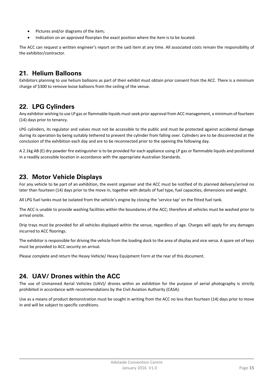- Pictures and/or diagrams of the item;
- Indication on an approved floorplan the exact position where the item is to be located.

The ACC can request a written engineer's report on the said item at any time. All associated costs remain the responsibility of the exhibitor/contractor.

# **21. Helium Balloons**

Exhibitors planning to use helium balloons as part of their exhibit must obtain prior consent from the ACC. There is a minimum charge of \$300 to remove loose balloons from the ceiling of the venue.

# **22. LPG Cylinders**

Any exhibitor wishing to use LP gas or flammable liquids must seek prior approval from ACC management, a minimum of fourteen (14) days prior to tenancy.

LPG cylinders, its regulator and valves must not be accessible to the public and must be protected against accidental damage during its operation by being suitably tethered to prevent the cylinder from falling over. Cylinders are to be disconnected at the conclusion of the exhibition each day and are to be reconnected prior to the opening the following day.

A 2.1kg AB (E) dry powder fire extinguisher is to be provided for each appliance using LP gas or flammable liquids and positioned in a readily accessible location in accordance with the appropriate Australian Standards.

# **23. Motor Vehicle Displays**

For any vehicle to be part of an exhibition, the event organiser and the ACC must be notified of its planned delivery/arrival no later than fourteen (14) days prior to the move in, together with details of fuel type, fuel capacities, dimensions and weight.

All LPG fuel tanks must be isolated from the vehicle's engine by closing the 'service tap' on the fitted fuel tank.

The ACC is unable to provide washing facilities within the boundaries of the ACC; therefore all vehicles must be washed prior to arrival onsite.

Drip trays must be provided for all vehicles displayed within the venue, regardless of age. Charges will apply for any damages incurred to ACC floorings.

The exhibitor is responsible for driving the vehicle from the loading dock to the area of display and vice versa. A spare set of keys must be provided to ACC security on arrival.

Please complete and return the Heavy Vehicle/ Heavy Equipment Form at the rear of this document.

# **24. UAV/ Drones within the ACC**

The use of Unmanned Aerial Vehicles (UAV)/ drones within an exhibition for the purpose of aerial photography is strictly prohibited in accordance with recommendations by the Civil Aviation Authority (CASA).

Use as a means of product demonstration must be sought in writing from the ACC no less than fourteen (14) days prior to move in and will be subject to specific conditions.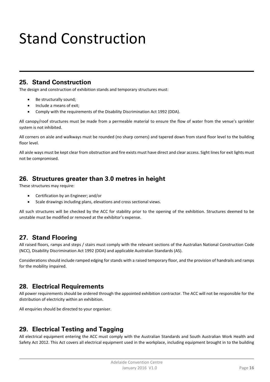# Stand Construction

# **25. Stand Construction**

The design and construction of exhibition stands and temporary structures must:

- Be structurally sound:
- Include a means of exit;
- Comply with the requirements of the Disability Discrimination Act 1992 (DDA).

All canopy/roof structures must be made from a permeable material to ensure the flow of water from the venue's sprinkler system is not inhibited.

All corners on aisle and walkways must be rounded (no sharp corners) and tapered down from stand floor level to the building floor level.

All aisle ways must be kept clear from obstruction and fire exists must have direct and clear access. Sight lines for exit lights must not be compromised.

# **26. Structures greater than 3.0 metres in height**

These structures may require:

- Certification by an Engineer; and/or
- Scale drawings including plans, elevations and cross sectional views.

All such structures will be checked by the ACC for stability prior to the opening of the exhibition. Structures deemed to be unstable must be modified or removed at the exhibitor's expense.

# **27. Stand Flooring**

All raised floors, ramps and steps / stairs must comply with the relevant sections of the Australian National Construction Code (NCC), Disability Discrimination Act 1992 (DDA) and applicable Australian Standards (AS).

Considerations should include ramped edging for stands with a raised temporary floor, and the provision of handrails and ramps for the mobility impaired.

# **28. Electrical Requirements**

All power requirements should be ordered through the appointed exhibition contractor. The ACC will not be responsible for the distribution of electricity within an exhibition.

All enquiries should be directed to your organiser.

# **29. Electrical Testing and Tagging**

All electrical equipment entering the ACC must comply with the Australian Standards and South Australian Work Health and Safety Act 2012. This Act covers all electrical equipment used in the workplace, including equipment brought in to the building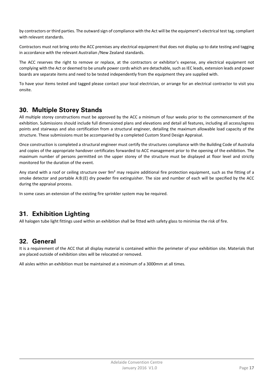by contractors or third parties. The outward sign of compliance with the Act will be the equipment's electrical test tag, compliant with relevant standards.

Contractors must not bring onto the ACC premises any electrical equipment that does not display up to date testing and tagging in accordance with the relevant Australian /New Zealand standards.

The ACC reserves the right to remove or replace, at the contractors or exhibitor's expense, any electrical equipment not complying with the Act or deemed to be unsafe power cords which are detachable, such as IEC leads, extension leads and power boards are separate items and need to be tested independently from the equipment they are supplied with.

To have your items tested and tagged please contact your local electrician, or arrange for an electrical contractor to visit you onsite.

# **30. Multiple Storey Stands**

All multiple storey constructions must be approved by the ACC a minimum of four weeks prior to the commencement of the exhibition. Submissions should include full dimensioned plans and elevations and detail all features, including all access/egress points and stairways and also certification from a structural engineer, detailing the maximum allowable load capacity of the structure. These submissions must be accompanied by a completed Custom Stand Design Appraisal.

Once construction is completed a structural engineer must certify the structures compliance with the Building Code of Australia and copies of the appropriate handover certificates forwarded to ACC management prior to the opening of the exhibition. The maximum number of persons permitted on the upper storey of the structure must be displayed at floor level and strictly monitored for the duration of the event.

Any stand with a roof or ceiling structure over 9m<sup>2</sup> may require additional fire protection equipment, such as the fitting of a smoke detector and portable A:B:(E) dry powder fire extinguisher. The size and number of each will be specified by the ACC during the appraisal process.

In some cases an extension of the existing fire sprinkler system may be required.

# **31. Exhibition Lighting**

All halogen tube light fittings used within an exhibition shall be fitted with safety glass to minimise the risk of fire.

# **32. General**

It is a requirement of the ACC that all display material is contained within the perimeter of your exhibition site. Materials that are placed outside of exhibition sites will be relocated or removed.

All aisles within an exhibition must be maintained at a minimum of a 3000mm at all times.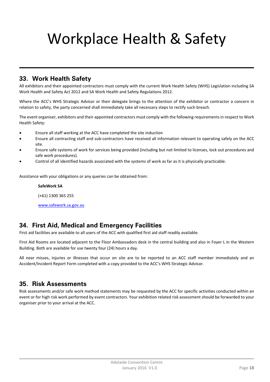# Workplace Health & Safety

# **33. Work Health Safety**

All exhibitors and their appointed contractors must comply with the current Work Health Safety (WHS) Legislation including SA Work Health and Safety Act 2012 and SA Work Health and Safety Regulations 2012.

Where the ACC's WHS Strategic Advisor or their delegate brings to the attention of the exhibitor or contractor a concern in relation to safety, the party concerned shall immediately take all necessary steps to rectify such breach.

The event organiser, exhibitors and their appointed contractors must comply with the following requirementsin respect to Work Health Safety:

- Ensure all staff working at the ACC have completed the site induction
- Ensure all contracting staff and sub‐contractors have received all information relevant to operating safely on the ACC site.
- Ensure safe systems of work for services being provided (including but not limited to licenses, lock out procedures and safe work procedures).
- Control of all identified hazards associated with the systems of work as far as it is physically practicable.

Assistance with your obligations or any queries can be obtained from:

#### **SafeWork SA**

(+61) 1300 365 255

www.safework.sa.gov.au

# **34. First Aid, Medical and Emergency Facilities**

First aid facilities are available to all users of the ACC with qualified first aid staff readily available.

First Aid Rooms are located adjacent to the Floor Ambassadors desk in the central building and also in Foyer L in the Western Building. Both are available for use twenty four (24) hours a day.

All near misses, injuries or illnesses that occur on site are to be reported to an ACC staff member immediately and an Accident/Incident Report Form completed with a copy provided to the ACC's WHS Strategic Advisor.

## **35. Risk Assessments**

Risk assessments and/or safe work method statements may be requested by the ACC for specific activities conducted within an event or for high risk work performed by event contractors. Your exhibition related risk assessment should be forwarded to your organiser prior to your arrival at the ACC.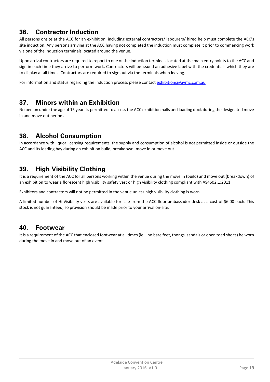# **36. Contractor Induction**

All persons onsite at the ACC for an exhibition, including external contractors/ labourers/ hired help must complete the ACC's site induction. Any persons arriving at the ACC having not completed the induction must complete it prior to commencing work via one of the induction terminals located around the venue.

Upon arrival contractors are required to report to one of the induction terminals located at the main entry points to the ACC and sign in each time they arrive to perform work. Contractors will be issued an adhesive label with the credentials which they are to display at all times. Contractors are required to sign out via the terminals when leaving.

For information and status regarding the induction process please contact exhibitions@aymc.com.au.

# **37. Minors within an Exhibition**

No person under the age of 15 years is permitted to access the ACC exhibition halls and loading dock during the designated move in and move out periods.

# **38. Alcohol Consumption**

In accordance with liquor licensing requirements, the supply and consumption of alcohol is not permitted inside or outside the ACC and its loading bay during an exhibition build, breakdown, move in or move out.

# **39. High Visibility Clothing**

It is a requirement of the ACC for all persons working within the venue during the move in (build) and move out (breakdown) of an exhibition to wear a florescent high visibility safety vest or high visibility clothing compliant with AS4602.1:2011.

Exhibitors and contractors will not be permitted in the venue unless high visibility clothing is worn.

A limited number of Hi Visibility vests are available for sale from the ACC floor ambassador desk at a cost of \$6.00 each. This stock is not guaranteed, so provision should be made prior to your arrival on‐site.

## **40. Footwear**

It is a requirement of the ACC that enclosed footwear at all times (ie – no bare feet, thongs, sandals or open toed shoes) be worn during the move in and move out of an event.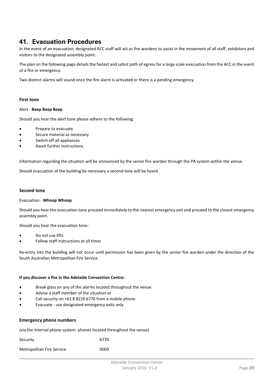## **41. Evacuation Procedures**

In the event of an evacuation, designated ACC staff will act as fire wardens to assist in the movement of all staff, exhibitors and visitors to the designated assembly point.

The plan on the following page details the fastest and safest path of egress for a large scale evacuation from the ACC in the event of a fire or emergency.

Two distinct alarms will sound once the fire alarm is activated or there is a pending emergency.

#### **First tone**

#### Alert ‐ **Beep Beep Beep**

Should you hear the alert tone please adhere to the following:

- Prepare to evacuate
- Secure material as necessary
- Switch off all appliances
- Await further instructions

Information regarding the situation will be announced by the senior fire warden through the PA system within the venue.

Should evacuation of the building be necessary a second tone will be heard.

#### **Second tone**

#### Evacuation ‐ **Whoop Whoop**

Should you hear the evacuation tone proceed immediately to the nearest emergency exit and proceed to the closest emergency assembly point.

Should you hear the evacuation tone:

- Do not use lifts
- Follow staff instructions at all times

Re-entry into the building will not occur until permission has been given by the senior fire warden under the direction of the South Australian Metropolitan Fire Service.

#### **If you discover a fire in the Adelaide Convention Centre:**

- Break glass on any of the alarms located throughout the venue
- Advise a staff member of the situation or
- Call security on +61 8 8210 6770 from a mobile phone.
- Evacuate ‐ use designated emergency exits only

#### **Emergency phone numbers**

(via the internal phone system‐ phones located throughout the venue)

| Security                  | 6770 |
|---------------------------|------|
| Metropolitan Fire Service | 0000 |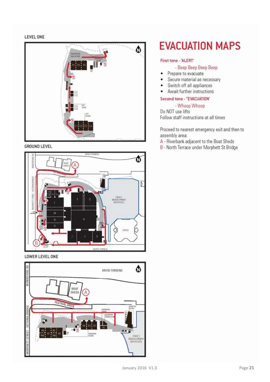#### LEVEL ONE



#### **GROUND LEVEL**



LOWER LEVEL ONE



# **EVACUATION MAPS**

#### First tone - 'ALERT'

#### - Beep Beep Beep Beep

- Prepare to evacuate  $\bullet$
- Secure material as necessary  $\bullet$
- Switch off all appliances ٠
- Await further instructions ×

#### Second tone - "EVACUATION"

#### - Whoop Whoop

Do NOT use lifts Follow staff instructions at all times

Proceed to nearest emergency exit and then to assembly area:

A - Riverbank adjacent to the Boat Sheds

B - North Terrace under Morphett St Bridge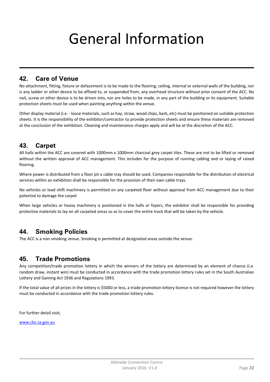# General Information

# **42. Care of Venue**

No attachment, fitting, fixture or defacement is to be made to the flooring, ceiling, internal or external walls of the building, nor is any ladder or other device to be affixed to, or suspended from, any overhead structure without prior consent of the ACC. No nail, screw or other device is to be driven into, nor are holes to be made, in any part of the building or its equipment. Suitable protection sheets must be used when painting anything within the venue.

Other display material (i.e. - loose materials, such as hay, straw, wood chips, bark, etc) must be positioned on suitable protection sheets. It is the responsibility of the exhibitor/contractor to provide protection sheets and ensure these materials are removed at the conclusion of the exhibition. Cleaning and maintenance charges apply and will be at the discretion of the ACC.

# **43. Carpet**

All halls within the ACC are covered with 1000mm x 1000mm charcoal grey carpet tiles. These are not to be lifted or removed without the written approval of ACC management. This includes for the purpose of running cabling and or laying of raised flooring.

Where power is distributed from a floor pit a cable tray should be used. Companies responsible for the distribution of electrical services within an exhibition shall be responsible for the provision of their own cable trays.

No vehicles or load shift machinery is permitted on any carpeted floor without approval from ACC management due to their potential to damage the carpet

When large vehicles or heavy machinery is positioned in the halls or foyers, the exhibitor shall be responsible for providing protective materials to lay on all carpeted areas so as to cover the entire track that will be taken by the vehicle.

## **44. Smoking Policies**

The ACC is a non-smoking venue. Smoking is permitted at designated areas outside the venue.

# **45. Trade Promotions**

Any competition/trade promotion lottery in which the winners of the lottery are determined by an element of chance (i.e. random draw, instant win) must be conducted in accordance with the trade promotion lottery rules set in the South Australian Lottery and Gaming Act 1936 and Regulations 1993.

If the total value of all prizes in the lottery is \$5000 or less, a trade promotion lottery licence is not required however the lottery must be conducted in accordance with the trade promotion lottery rules.

For further detail visit;

www.cbs.sa.gov.au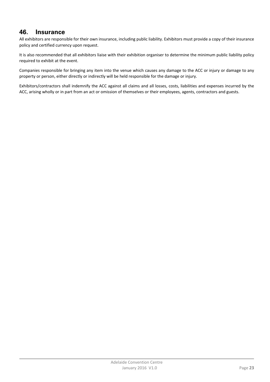## **46. Insurance**

All exhibitors are responsible for their own insurance, including public liability. Exhibitors must provide a copy of their insurance policy and certified currency upon request.

It is also recommended that all exhibitors liaise with their exhibition organiser to determine the minimum public liability policy required to exhibit at the event.

Companies responsible for bringing any item into the venue which causes any damage to the ACC or injury or damage to any property or person, either directly or indirectly will be held responsible for the damage or injury.

Exhibitors/contractors shall indemnify the ACC against all claims and all losses, costs, liabilities and expenses incurred by the ACC, arising wholly or in part from an act or omission of themselves or their employees, agents, contractors and guests.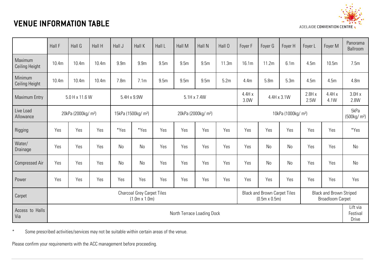# VENUE INFORMATION TABLE



|                           | Hall F                                                                                                                                                                                | Hall G                          | Hall H | Hall J           | Hall K                          | Hall L           | Hall M                               | Hall N                          | Hall 0                                        | Foyer F                         | Foyer G          | Foyer H          | Foyer L                         | Foyer M | Panorama<br>Ballroom |
|---------------------------|---------------------------------------------------------------------------------------------------------------------------------------------------------------------------------------|---------------------------------|--------|------------------|---------------------------------|------------------|--------------------------------------|---------------------------------|-----------------------------------------------|---------------------------------|------------------|------------------|---------------------------------|---------|----------------------|
| Maximum<br>Ceiling Height | 10.4m                                                                                                                                                                                 | 10.4m                           | 10.4m  | 9.9 <sub>m</sub> | 9.9m                            | 9.5 <sub>m</sub> | 9.5 <sub>m</sub>                     | 9.5 <sub>m</sub>                | 11.3m                                         | 16.1m                           | 11.2m            | 6.1 <sub>m</sub> | 4.5m                            | 10.5m   | 7.5m                 |
| Minimum<br>Ceiling Height | 10.4m                                                                                                                                                                                 | 10.4m                           | 10.4m  | 7.8 <sub>m</sub> | 7.1 <sub>m</sub>                | 9.5 <sub>m</sub> | 9.5m                                 | 9.5m                            | 5.2m                                          | 4.4m                            | 5.8 <sub>m</sub> | 5.3m             | 4.5m                            | 4.5m    | 4.8 <sub>m</sub>     |
| <b>Maximum Entry</b>      |                                                                                                                                                                                       | 5.0 H x 11.6 W                  |        | 5.4H x 9.9W      |                                 |                  | 5.1H x 7.4W                          |                                 | 4.4Hx<br>2.8Hx<br>4.4H x 3.1W<br>3.0W<br>2.5W |                                 | 4.4Hx<br>4.1W    | 3.0Hx<br>2.8W    |                                 |         |                      |
| Live Load<br>Allowance    |                                                                                                                                                                                       | 20kPa (2000kg/ m <sup>2</sup> ) |        |                  | 15kPa (1500kg/ m <sup>2</sup> ) |                  |                                      | 20kPa (2000kg/ m <sup>2</sup> ) |                                               | 10kPa (1000kg/ m <sup>2</sup> ) |                  |                  | 5kPa<br>(500kg/m <sup>2</sup> ) |         |                      |
| Rigging                   | Yes                                                                                                                                                                                   | Yes                             | Yes    | *Yes             | *Yes                            | Yes              | Yes                                  | Yes                             | Yes                                           | Yes                             | Yes              | Yes              | Yes                             | Yes     | *Yes                 |
| Water/<br>Drainage        | Yes                                                                                                                                                                                   | Yes                             | Yes    | N <sub>o</sub>   | <b>No</b>                       | Yes              | Yes                                  | Yes                             | Yes                                           | Yes                             | <b>No</b>        | No               | Yes                             | Yes     | No                   |
| <b>Compressed Air</b>     | Yes                                                                                                                                                                                   | Yes                             | Yes    | <b>No</b>        | <b>No</b>                       | Yes              | Yes                                  | Yes                             | Yes                                           | Yes                             | No               | N <sub>0</sub>   | Yes                             | Yes     | No                   |
| Power                     | Yes                                                                                                                                                                                   | Yes                             | Yes    | Yes              | Yes                             | Yes              | Yes                                  | Yes                             | Yes                                           | Yes                             | Yes              | Yes              | Yes                             | Yes     | Yes                  |
| Carpet                    | <b>Charcoal Grey Carpet Tiles</b><br><b>Black and Brown Carpet Tiles</b><br><b>Black and Brown Striped</b><br>$(1.0m \times 1.0m)$<br>$(0.5m \times 0.5m)$<br><b>Broadloom Carpet</b> |                                 |        |                  |                                 |                  |                                      |                                 |                                               |                                 |                  |                  |                                 |         |                      |
| Access to Halls<br>Via    | North Terrace Loading Dock                                                                                                                                                            |                                 |        |                  |                                 |                  | Lift via<br>Festival<br><b>Drive</b> |                                 |                                               |                                 |                  |                  |                                 |         |                      |

\* Some prescribed activities/services may not be suitable within certain areas of the venue.

Please confirm your requirements with the ACC management before proceeding.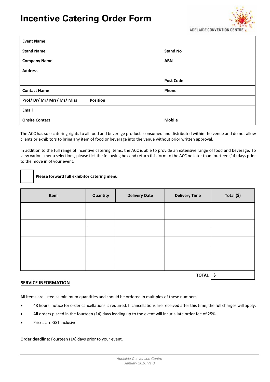# **Incentive Catering Order Form**



| <b>Event Name</b>                         |                  |
|-------------------------------------------|------------------|
| <b>Stand Name</b>                         | <b>Stand No</b>  |
| <b>Company Name</b>                       | <b>ABN</b>       |
| <b>Address</b>                            |                  |
|                                           | <b>Post Code</b> |
| <b>Contact Name</b>                       | Phone            |
| Prof/Dr/Mr/Mrs/Ms/Miss<br><b>Position</b> |                  |
| Email                                     |                  |
| <b>Onsite Contact</b>                     | <b>Mobile</b>    |

The ACC has sole catering rights to all food and beverage products consumed and distributed within the venue and do not allow clients or exhibitors to bring any item of food or beverage into the venue without prior written approval.

In addition to the full range of incentive catering items, the ACC is able to provide an extensive range of food and beverage. To view various menu selections, please tick the following box and return this form to the ACC no later than fourteen (14) days prior to the move in of your event.

#### **Please forward full exhibitor catering menu**

| Item | Quantity | <b>Delivery Date</b> | <b>Delivery Time</b> | Total (\$) |
|------|----------|----------------------|----------------------|------------|
|      |          |                      |                      |            |
|      |          |                      |                      |            |
|      |          |                      |                      |            |
|      |          |                      |                      |            |
|      |          |                      |                      |            |
|      |          |                      |                      |            |
|      |          |                      |                      |            |
|      |          |                      |                      |            |
|      | \$       |                      |                      |            |

#### **SERVICE INFORMATION**

All items are listed as minimum quantities and should be ordered in multiples of these numbers.

- 48 hours' notice for order cancellations is required. If cancellations are received after this time, the full charges will apply.
- All orders placed in the fourteen (14) days leading up to the event will incur a late order fee of 25%.
- Prices are GST inclusive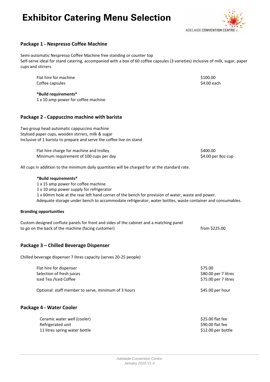# **Exhibitor Catering Menu Selection**



#### **Package 1 ‐ Nespresso Coffee Machine**

Semi‐automatic Nespresso Coffee Machine free standing or counter top Self‐serve ideal for stand catering, accompanied with a box of 60 coffee capsules (3 varieties) inclusive of milk, sugar, paper cups and stirrers.

| Flat hire for machine                                                                          | \$100.00           |
|------------------------------------------------------------------------------------------------|--------------------|
| Coffee capsules                                                                                | \$4.00 each        |
| *Build requirements*                                                                           |                    |
| 1 x 10 amp power for coffee machine                                                            |                    |
| Package 2 - Cappuccino machine with barista                                                    |                    |
| Two group head automatic cappuccino machine                                                    |                    |
| Stylised paper cups, wooden stirrers, milk & sugar                                             |                    |
| Inclusive of 1 barista to prepare and serve the coffee live on stand                           |                    |
| Flat hire charge for machine and trolley                                                       | \$400.00           |
| Minimum requirement of 100 cups per day                                                        | \$4.00 per 8oz cup |
| All cups in addition to the minimum daily quantities will be charged for at the standard rate. |                    |
|                                                                                                |                    |

#### **\*Build requirements\***

1 x 15 amp power for coffee machine

1 x 10 amp power supply for refrigerator

1 x 60mm hole at the rear left hand corner of the bench for provision of water, waste and power. Adequate storage under bench to accommodate refrigerator, water bottles, waste container and consumables.

#### **Branding opportunities**

| Custom designed corflute panels for front and sides of the cabinet and a matching panel |               |  |
|-----------------------------------------------------------------------------------------|---------------|--|
| to go on the back of the machine (facing customer)                                      | from \$225.00 |  |

#### **Package 3 – Chilled Beverage Dispenser**

Chilled beverage dispenser 7 litres capacity (serves 20‐25 people)

| Flat hire for dispenser   | \$75.00              |
|---------------------------|----------------------|
| Selection of fresh juices | \$80.00 per 7 litres |
| Iced Tea /Iced Coffee     | \$75.00 per 7 litres |
|                           |                      |

Optional: staff member to serve, minimum of 3 hours \$45.00 per hour

#### **Package 4 ‐ Water Cooler**

| Ceramic water well (cooler)   | \$25.00 flat fee   |
|-------------------------------|--------------------|
| Refrigerated unit             | \$90.00 flat fee   |
| 11 litres spring water bottle | \$12.00 per bottle |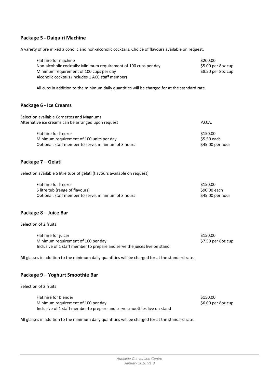#### **Package 5 ‐ Daiquiri Machine**

A variety of pre mixed alcoholic and non‐alcoholic cocktails. Choice of flavours available on request.

| Flat hire for machine                                            | \$200.00           |
|------------------------------------------------------------------|--------------------|
| Non-alcoholic cocktails: Minimum requirement of 100 cups per day | \$5.00 per 8oz cup |
| Minimum requirement of 100 cups per day                          | \$8.50 per 8oz cup |
| Alcoholic cocktails (includes 1 ACC staff member)                |                    |

All cups in addition to the minimum daily quantities will be charged for at the standard rate.

#### **Package 6 ‐ Ice Creams**

| Selection available Cornettos and Magnums           |                  |
|-----------------------------------------------------|------------------|
| Alternative ice creams can be arranged upon request | P.O.A.           |
| Flat hire for freezer                               | \$150.00         |
| Minimum requirement of 100 units per day            | \$5.50 each      |
| Optional: staff member to serve, minimum of 3 hours | \$45.00 per hour |

#### **Package 7 – Gelati**

Selection available 5 litre tubs of gelati (flavours available on request)

| Flat hire for freezer                               | \$150.00         |
|-----------------------------------------------------|------------------|
| 5 litre tub (range of flavours)                     | S90.00 each      |
| Optional: staff member to serve, minimum of 3 hours | \$45.00 per hour |

#### **Package 8 – Juice Bar**

Selection of 2 fruits

| Flat hire for juicer                                                      | \$150.00           |
|---------------------------------------------------------------------------|--------------------|
| Minimum requirement of 100 per day                                        | \$7.50 per 8oz cup |
| Inclusive of 1 staff member to prepare and serve the juices live on stand |                    |

All glasses in addition to the minimum daily quantities will be charged for at the standard rate.

#### **Package 9 – Yoghurt Smoothie Bar**

Selection of 2 fruits

| Flat hire for blender                                                    | \$150.00           |
|--------------------------------------------------------------------------|--------------------|
| Minimum requirement of 100 per day                                       | \$6.00 per 8oz cup |
| Inclusive of 1 staff member to prepare and serve smoothies live on stand |                    |

All glasses in addition to the minimum daily quantities will be charged for at the standard rate.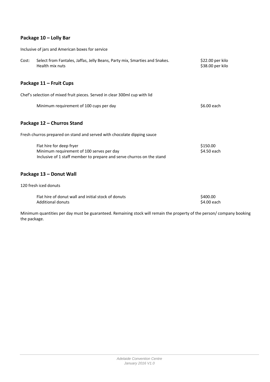#### **Package 10 – Lolly Bar**

Inclusive of jars and American boxes for service

| Cost: | Select from Fantales, Jaffas, Jelly Beans, Party mix, Smarties and Snakes.<br>Health mix nuts                                                  | \$22.00 per kilo<br>\$38.00 per kilo |
|-------|------------------------------------------------------------------------------------------------------------------------------------------------|--------------------------------------|
|       | Package 11 – Fruit Cups                                                                                                                        |                                      |
|       | Chef's selection of mixed fruit pieces. Served in clear 300ml cup with lid                                                                     |                                      |
|       | Minimum requirement of 100 cups per day                                                                                                        | \$6.00 each                          |
|       | Package 12 - Churros Stand                                                                                                                     |                                      |
|       | Fresh churros prepared on stand and served with chocolate dipping sauce                                                                        |                                      |
|       | Flat hire for deep fryer<br>Minimum requirement of 100 serves per day<br>Inclusive of 1 staff member to prepare and serve churros on the stand | \$150.00<br>\$4.50 each              |
|       | Package 13 - Donut Wall                                                                                                                        |                                      |

120 fresh iced donuts

| Flat hire of donut wall and initial stock of donuts | \$400.00    |
|-----------------------------------------------------|-------------|
| <b>Additional donuts</b>                            | \$4.00 each |

Minimum quantities per day must be guaranteed. Remaining stock will remain the property of the person/ company booking the package.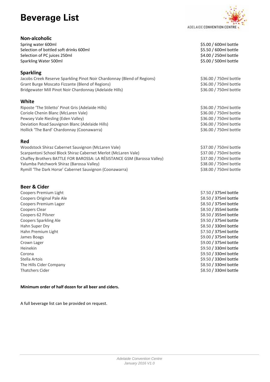# **Beverage List**

#### **Non‐alcoholic**

Spring water 600ml Selection of bottled soft drinks 600ml \$5.50 / 600ml bottle Selection of PC juices 250ml Sparkling Water 500ml **bottle Sparkling Water 500ml bottle Sparkling Water 500ml bottle** 

#### **Sparkling**

Jacobs Creek Reserve Sparkling Pinot Noir Chardonnay (Blend of Regions) \$36.00 / 750ml bottle Grant Burge Moscato Fizzante (Blend of Regions) \$36.00 / 750ml bottle \$36.00 / 750ml bottle Bridgewater Mill Pinot Noir Chardonnay (Adelaide Hills) \$36.00 / 750ml bottle

#### **White**

Riposte 'The Stiletto' Pinot Gris (Adelaide Hills) \$36.00 / 750ml bottle Coriole Chenin Blanc (McLaren Vale) **Samuel Coriole Chenin Blanc (McLaren Vale)** \$36.00 / 750ml bottle Pewsey Vale Riesling (Eden Valley) \$36.00 / 750ml bottle Deviation Road Sauvignon Blanc (Adelaide Hills) **Saudion Service 19 / 1990** \$36.00 / 750ml bottle Hollick 'The Bard' Chardonnay (Coonawarra) \$36.00 / 750ml bottle

#### **Red**

Woodstock Shiraz Cabernet Sauvignon (McLaren Vale) \$37.00 / 750ml bottle Scarpantoni School Block Shiraz Cabernet Merlot (McLaren Vale) \$37.00 / 750ml bottle Chaffey Brothers BATTLE FOR BAROSSA: LA RÉSISTANCE GSM (Barossa Valley) \$37.00 / 750ml bottle Yalumba Patchwork Shiraz (Barossa Valley) \$38.00 / 750ml bottle Rymill 'The Dark Horse' Cabernet Sauvignon (Coonawarra) \$38.00 / 750ml bottle

#### **Beer & Cider**

Coopers Original Pale Ale **Exercise 2018** S8.50 / 375ml bottle Coopers Premium Lager  $$8.50 / 375$ ml bottle Coopers Clear \$8.50 / 355ml bottle Coopers 62 Pilsner \$8.50 / 355ml bottle \$8.50 / 355ml bottle \$8.50 / 355ml bottle Coopers Sparkling Ale **Example 2018** 2019 12:30 / 375ml bottle bottle that the set of the set of the set of the set of the set of the set of the set of the set of the set of the set of the set of the set of the set of the Hahn Super Dry **Same Draw Strategies and Strategies and Strategies and Strategies and Strategies and Strategies A** Hahn Premium Light  $\sim$  57.50 / 375ml bottle James Boags **\$9.00 / 375ml bottle** Crown Lager \$9.00 / 375ml bottle Heinekin \$9.50 / 330ml bottle Corona \$9.50 / 330ml bottle bottle and the state of the state of the state of the state of the state of the state of the state of the state of the state of the state of the state of the state of the state of the state of t Stella Artois **Stella Artois Stella Artois Stella Artois Stella Artois Stella Artois Stella Artois Stella Artois Stella Artois Stella Artois Stella Artois Stella Artois Stella Artois Stella Artois** The Hills Cider Company **bottle** and the Hills Cider Company **\$8.50 / 330ml bottle** Thatchers Cider \$8.50 / 330ml bottle

#### **Minimum order of half dozen for all beer and ciders.**

A full beverage list can be provided on request.



Coopers Premium Light \$7.50 / 375ml bottle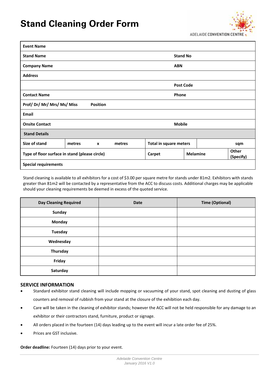# **Stand Cleaning Order Form**



| <b>Event Name</b>                                                                           |        |                 |           |                               |                  |  |     |
|---------------------------------------------------------------------------------------------|--------|-----------------|-----------|-------------------------------|------------------|--|-----|
| <b>Stand Name</b>                                                                           |        |                 |           |                               | <b>Stand No</b>  |  |     |
| <b>Company Name</b>                                                                         |        |                 |           |                               | <b>ABN</b>       |  |     |
| <b>Address</b>                                                                              |        |                 |           |                               |                  |  |     |
|                                                                                             |        |                 |           |                               | <b>Post Code</b> |  |     |
| <b>Contact Name</b>                                                                         |        |                 |           |                               | Phone            |  |     |
| Prof/Dr/Mr/Mrs/Ms/Miss                                                                      |        | <b>Position</b> |           |                               |                  |  |     |
| <b>Email</b>                                                                                |        |                 |           |                               |                  |  |     |
| <b>Onsite Contact</b>                                                                       |        |                 |           |                               | <b>Mobile</b>    |  |     |
| <b>Stand Details</b>                                                                        |        |                 |           |                               |                  |  |     |
| Size of stand                                                                               | metres | $\mathbf{x}$    | metres    | <b>Total in square meters</b> |                  |  | sqm |
| <b>Other</b><br><b>Melamine</b><br>Type of floor surface in stand (please circle)<br>Carpet |        |                 | (Specify) |                               |                  |  |     |
| <b>Special requirements</b>                                                                 |        |                 |           |                               |                  |  |     |

Stand cleaning is available to all exhibitors for a cost of \$3.00 per square metre for stands under 81m2. Exhibitors with stands greater than 81m2 will be contacted by a representative from the ACC to discuss costs. Additional charges may be applicable should your cleaning requirements be deemed in excess of the quoted service.

| <b>Day Cleaning Required</b> | <b>Date</b> | <b>Time (Optional)</b> |
|------------------------------|-------------|------------------------|
| <b>Sunday</b>                |             |                        |
| Monday                       |             |                        |
| <b>Tuesday</b>               |             |                        |
| Wednesday                    |             |                        |
| Thursday                     |             |                        |
| Friday                       |             |                        |
| Saturday                     |             |                        |

#### **SERVICE INFORMATION**

- Standard exhibitor stand cleaning will include mopping or vacuuming of your stand, spot cleaning and dusting of glass counters and removal of rubbish from your stand at the closure of the exhibition each day.
- Care will be taken in the cleaning of exhibitor stands; however the ACC will not be held responsible for any damage to an exhibitor or their contractors stand, furniture, product or signage.
- All orders placed in the fourteen (14) days leading up to the event will incur a late order fee of 25%.
- Prices are GST inclusive.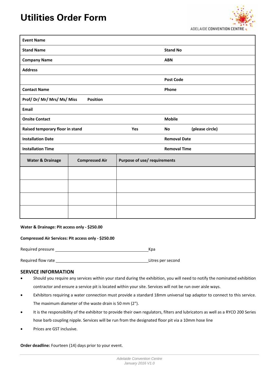# **Utilities Order Form**

 $\Gamma$ 



| <b>Event Name</b>               |                       |                              |                     |                 |
|---------------------------------|-----------------------|------------------------------|---------------------|-----------------|
| <b>Stand Name</b>               |                       |                              | <b>Stand No</b>     |                 |
| <b>Company Name</b>             |                       |                              | <b>ABN</b>          |                 |
| <b>Address</b>                  |                       |                              |                     |                 |
|                                 |                       |                              | <b>Post Code</b>    |                 |
| <b>Contact Name</b>             |                       |                              | Phone               |                 |
| Prof/Dr/Mr/Mrs/Ms/Miss          | <b>Position</b>       |                              |                     |                 |
| <b>Email</b>                    |                       |                              |                     |                 |
| <b>Onsite Contact</b>           |                       |                              | <b>Mobile</b>       |                 |
| Raised temporary floor in stand |                       | Yes                          | No                  | (please circle) |
| <b>Installation Date</b>        |                       |                              | <b>Removal Date</b> |                 |
| <b>Installation Time</b>        |                       |                              | <b>Removal Time</b> |                 |
| <b>Water &amp; Drainage</b>     | <b>Compressed Air</b> | Purpose of use/ requirements |                     |                 |
|                                 |                       |                              |                     |                 |
|                                 |                       |                              |                     |                 |
|                                 |                       |                              |                     |                 |
|                                 |                       |                              |                     |                 |

#### **Water & Drainage: Pit access only ‐ \$250.00**

|                   | Compressed Air Services: Pit access only - \$250.00 |     |
|-------------------|-----------------------------------------------------|-----|
| Required pressure |                                                     | Kpa |

Required flow rate **All 2008** Contract a litres per second

#### **SERVICE INFORMATION**

- Should you require any services within your stand during the exhibition, you will need to notify the nominated exhibition contractor and ensure a service pit is located within your site. Services will not be run over aisle ways.
- Exhibitors requiring a water connection must provide a standard 18mm universal tap adaptor to connect to this service. The maximum diameter of the waste drain is 50 mm (2").
- It is the responsibility of the exhibitor to provide their own regulators, filters and lubricators as well as a RYCO 200 Series hose barb coupling nipple. Services will be run from the designated floor pit via a 10mm hose line
- Prices are GST inclusive.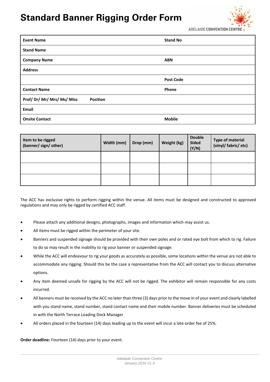# **Standard Banner Rigging Order Form**



ADELAIDE CONVENTION CEN

| <b>Event Name</b>                         | <b>Stand No</b>  |
|-------------------------------------------|------------------|
| <b>Stand Name</b>                         |                  |
| <b>Company Name</b>                       | <b>ABN</b>       |
| <b>Address</b>                            |                  |
|                                           | <b>Post Code</b> |
| <b>Contact Name</b>                       | Phone            |
| Prof/Dr/Mr/Mrs/Ms/Miss<br><b>Position</b> |                  |
| Email                                     |                  |
| <b>Onsite Contact</b>                     | <b>Mobile</b>    |

| Item to be rigged<br>(banner/ sign/ other) | Width (mm) | Drop (mm) | Weight (kg) | <b>Double</b><br><b>Sided</b><br>(Y/N) | <b>Type of material</b><br>(vinyl/ fabric/ etc) |
|--------------------------------------------|------------|-----------|-------------|----------------------------------------|-------------------------------------------------|
|                                            |            |           |             |                                        |                                                 |
|                                            |            |           |             |                                        |                                                 |
|                                            |            |           |             |                                        |                                                 |

The ACC has exclusive rights to perform rigging within the venue. All items must be designed and constructed to approved regulations and may only be rigged by certified ACC staff.

- Please attach any additional designs, photographs, images and information which may assist us.
- All items must be rigged within the perimeter of your site.
- Banners and suspended signage should be provided with their own poles and or rated eye bolt from which to rig. Failure to do so may result in the inability to rig your banner or suspended signage.
- While the ACC will endeavour to rig your goods as accurately as possible, some locations within the venue are not able to accommodate any rigging. Should this be the case a representative from the ACC will contact you to discuss alternative options.
- Any item deemed unsafe for rigging by the ACC will not be rigged. The exhibitor will remain responsible for any costs incurred.
- All banners must be received by the ACC no later than three (3) days prior to the move in of your event and clearly labelled with you stand name, stand number, stand contact name and their mobile number. Banner deliveries must be scheduled in with the North Terrace Loading Dock Manager
- All orders placed in the fourteen (14) days leading up to the event will incur a late order fee of 25%.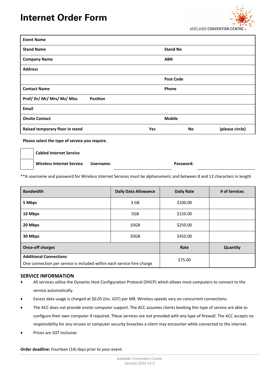

| <b>Event Name</b>                         |                  |    |                 |
|-------------------------------------------|------------------|----|-----------------|
| <b>Stand Name</b>                         | <b>Stand No</b>  |    |                 |
| <b>Company Name</b>                       | <b>ABN</b>       |    |                 |
| <b>Address</b>                            |                  |    |                 |
|                                           | <b>Post Code</b> |    |                 |
| <b>Contact Name</b>                       | Phone            |    |                 |
| Prof/Dr/Mr/Mrs/Ms/Miss<br><b>Position</b> |                  |    |                 |
| Email                                     |                  |    |                 |
| <b>Onsite Contact</b>                     | <b>Mobile</b>    |    |                 |
| Raised temporary floor in stand           | Yes              | No | (please circle) |

**Please select the type of service you require.**

**Cabled Internet Service Wireless Internet Service Username: Password:** 

\*\*A username and password for Wireless Internet Services must be alphanumeric and between 8 and 12 characters in length

| <b>Bandwidth</b>                                                                                        | <b>Daily Data Allowance</b> | <b>Daily Rate</b> | # of Services |
|---------------------------------------------------------------------------------------------------------|-----------------------------|-------------------|---------------|
| 5 Mbps                                                                                                  | 3 GB                        | \$100.00          |               |
| 10 Mbps                                                                                                 | 5GB                         | \$150.00          |               |
| 20 Mbps                                                                                                 | 10 <sub>GB</sub>            | \$250.00          |               |
| 30 Mbps                                                                                                 | 20GB                        | \$450.00          |               |
| <b>Once-off charges</b>                                                                                 |                             | Rate              | Quantity      |
| <b>Additional Connections</b><br>One connection per service is included within each service hire charge |                             | \$75.00           |               |

#### **SERVICE INFORMATION**

- All services utilise the Dynamic Host Configuration Protocol (DHCP) which allows most computers to connect to the service automatically.
- Excess data usage is charged at \$0.05 (Inc. GST) per MB. Wireless speeds vary on concurrent connections.
- The ACC does not provide onsite computer support. The ACC assumes clients booking this type of service are able to configure their own computer if required. These services are not provided with any type of firewall. The ACC accepts no responsibility for any viruses or computer security breaches a client may encounter while connected to the internet.
- Prices are GST inclusive.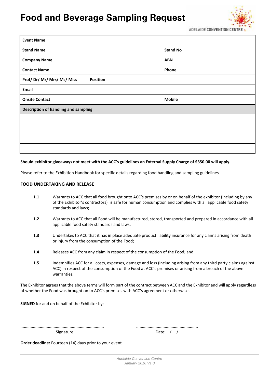# **Food and Beverage Sampling Request**



| <b>Event Name</b>                           |                 |  |  |  |
|---------------------------------------------|-----------------|--|--|--|
| <b>Stand Name</b>                           | <b>Stand No</b> |  |  |  |
| <b>Company Name</b>                         | <b>ABN</b>      |  |  |  |
| <b>Contact Name</b>                         | Phone           |  |  |  |
| Prof/Dr/Mr/Mrs/Ms/Miss<br><b>Position</b>   |                 |  |  |  |
| Email                                       |                 |  |  |  |
| <b>Onsite Contact</b>                       | <b>Mobile</b>   |  |  |  |
| <b>Description of handling and sampling</b> |                 |  |  |  |
|                                             |                 |  |  |  |
|                                             |                 |  |  |  |
|                                             |                 |  |  |  |
|                                             |                 |  |  |  |

#### Should exhibitor giveaways not meet with the ACC's guidelines an External Supply Charge of \$350.00 will apply.

Please refer to the Exhibition Handbook for specific details regarding food handling and sampling guidelines.

#### **FOOD UNDERTAKING AND RELEASE**

- **1.1** Warrants to ACC that all food brought onto ACC's premises by or on behalf of the exhibitor (including by any of the Exhibitor's contractors) is safe for human consumption and complies with all applicable food safety standards and laws;
- **1.2** Warrants to ACC that all Food will be manufactured, stored, transported and prepared in accordance with all applicable food safety standards and laws;
- **1.3** Undertakes to ACC that it has in place adequate product liability insurance for any claims arising from death or injury from the consumption of the Food;
- **1.4** Releases ACC from any claim in respect of the consumption of the Food; and
- **1.5** Indemnifies ACC for all costs, expenses, damage and loss (including arising from any third party claims against ACC) in respect of the consumption of the Food at ACC's premises or arising from a breach of the above warranties.

The Exhibitor agrees that the above terms will form part of the contract between ACC and the Exhibitor and will apply regardless of whether the Food was brought on to ACC's premises with ACC's agreement or otherwise.

**SIGNED** for and on behalf of the Exhibitor by:

......................................................................... ...................................................... Signature Date:  $/$  /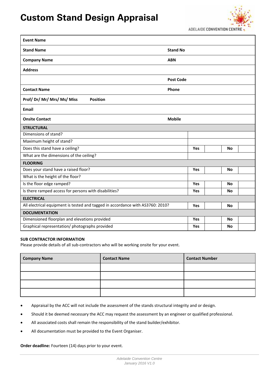# **Custom Stand Design Appraisal**



| <b>Event Name</b>                                                              |                  |  |           |  |
|--------------------------------------------------------------------------------|------------------|--|-----------|--|
| <b>Stand Name</b>                                                              | <b>Stand No</b>  |  |           |  |
| <b>Company Name</b>                                                            | <b>ABN</b>       |  |           |  |
| <b>Address</b>                                                                 |                  |  |           |  |
|                                                                                | <b>Post Code</b> |  |           |  |
| <b>Contact Name</b>                                                            | Phone            |  |           |  |
| Prof/Dr/Mr/Mrs/Ms/Miss<br><b>Position</b>                                      |                  |  |           |  |
| <b>Email</b>                                                                   |                  |  |           |  |
| <b>Onsite Contact</b>                                                          | <b>Mobile</b>    |  |           |  |
| <b>STRUCTURAL</b>                                                              |                  |  |           |  |
| Dimensions of stand?                                                           |                  |  |           |  |
| Maximum height of stand?                                                       |                  |  |           |  |
| Does this stand have a ceiling?                                                | Yes              |  | <b>No</b> |  |
| What are the dimensions of the ceiling?                                        |                  |  |           |  |
| <b>FLOORING</b>                                                                |                  |  |           |  |
| Does your stand have a raised floor?                                           | Yes              |  | <b>No</b> |  |
| What is the height of the floor?                                               |                  |  |           |  |
| Is the floor edge ramped?                                                      | Yes              |  | <b>No</b> |  |
| Is there ramped access for persons with disabilities?                          | Yes              |  | <b>No</b> |  |
| <b>ELECTRICAL</b>                                                              |                  |  |           |  |
| All electrical equipment is tested and tagged in accordance with AS3760: 2010? |                  |  | <b>No</b> |  |
| <b>DOCUMENTATION</b>                                                           |                  |  |           |  |
| Dimensioned floorplan and elevations provided                                  | Yes              |  | <b>No</b> |  |
| Graphical representation/ photographs provided                                 | Yes              |  | <b>No</b> |  |

#### **SUB CONTRACTOR INFORMATION**

Please provide details of all sub‐contractors who will be working onsite for your event.

| <b>Company Name</b> | <b>Contact Name</b> | <b>Contact Number</b> |
|---------------------|---------------------|-----------------------|
|                     |                     |                       |
|                     |                     |                       |
|                     |                     |                       |
|                     |                     |                       |

- Appraisal by the ACC will not include the assessment of the stands structural integrity and or design.
- Should it be deemed necessary the ACC may request the assessment by an engineer or qualified professional.
- All associated costs shall remain the responsibility of the stand builder/exhibitor.
- All documentation must be provided to the Event Organiser.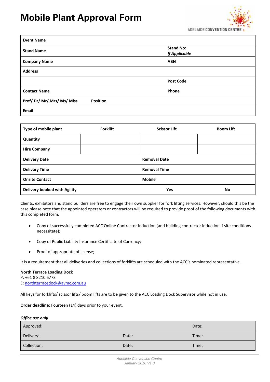# **Mobile Plant Approval Form**



| <b>Event Name</b>                         |                                          |
|-------------------------------------------|------------------------------------------|
| <b>Stand Name</b>                         | <b>Stand No:</b><br><b>If Applicable</b> |
| <b>Company Name</b>                       | <b>ABN</b>                               |
| <b>Address</b>                            |                                          |
|                                           | <b>Post Code</b>                         |
| <b>Contact Name</b>                       | Phone                                    |
| Prof/Dr/Mr/Mrs/Ms/Miss<br><b>Position</b> |                                          |
| Email                                     |                                          |

| Type of mobile plant         | <b>Forklift</b> | <b>Scissor Lift</b> | <b>Boom Lift</b> |
|------------------------------|-----------------|---------------------|------------------|
| Quantity                     |                 |                     |                  |
| <b>Hire Company</b>          |                 |                     |                  |
| <b>Delivery Date</b>         |                 | <b>Removal Date</b> |                  |
| <b>Delivery Time</b>         |                 | <b>Removal Time</b> |                  |
| <b>Onsite Contact</b>        |                 | <b>Mobile</b>       |                  |
| Delivery booked with Agility |                 | Yes                 | No               |

Clients, exhibitors and stand builders are free to engage their own supplier for fork lifting services. However, should this be the case please note that the appointed operators or contractors will be required to provide proof of the following documents with this completed form.

- Copy of successfully completed ACC Online Contractor Induction (and building contractor induction if site conditions necessitate);
- Copy of Public Liability Insurance Certificate of Currency;
- Proof of appropriate of license;

It is a requirement that all deliveries and collections of forklifts are scheduled with the ACC's nominated representative.

#### **North Terrace Loading Dock**

P: +61 8 8210 6773 E: northterracedock@avmc.com.au

All keys for forklifts/ scissor lifts/ boom lifts are to be given to the ACC Loading Dock Supervisor while not in use.

**Order deadline:** Fourteen (14) days prior to your event.

#### *Office use only*

| Approved:   |       | Date: |
|-------------|-------|-------|
| Delivery:   | Date: | Time: |
| Collection: | Date: | Time: |